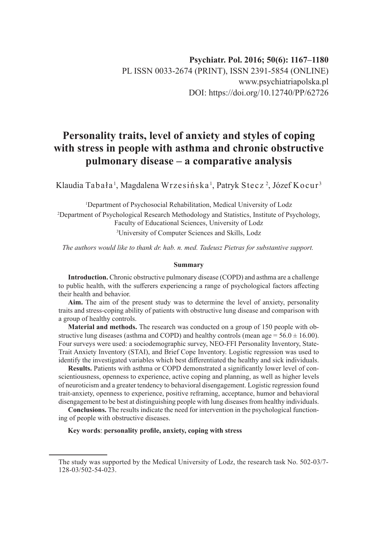# **Personality traits, level of anxiety and styles of coping with stress in people with asthma and chronic obstructive pulmonary disease – a comparative analysis**

Klaudia Tabała <sup>1</sup>, Magdalena Wrzesińska <sup>1</sup>, Patryk Stecz <sup>2</sup>, Józef Kocur <sup>3</sup>

1 Department of Psychosocial Rehabilitation, Medical University of Lodz

2 Department of Psychological Research Methodology and Statistics, Institute of Psychology, Faculty of Educational Sciences, University of Lodz

3 University of Computer Sciences and Skills, Lodz

*The authors would like to thank dr. hab. n. med. Tadeusz Pietras for substantive support.*

#### **Summary**

**Introduction.** Chronic obstructive pulmonary disease (COPD) and asthma are a challenge to public health, with the sufferers experiencing a range of psychological factors affecting their health and behavior.

**Aim.** The aim of the present study was to determine the level of anxiety, personality traits and stress-coping ability of patients with obstructive lung disease and comparison with a group of healthy controls.

**Material and methods.** The research was conducted on a group of 150 people with obstructive lung diseases (asthma and COPD) and healthy controls (mean age =  $56.0 \pm 16.00$ ). Four surveys were used: a sociodemographic survey, NEO-FFI Personality Inventory, State-Trait Anxiety Inventory (STAI), and Brief Cope Inventory. Logistic regression was used to identify the investigated variables which best differentiated the healthy and sick individuals.

**Results.** Patients with asthma or COPD demonstrated a significantly lower level of conscientiousness, openness to experience, active coping and planning, as well as higher levels of neuroticism and a greater tendency to behavioral disengagement. Logistic regression found trait-anxiety, openness to experience, positive reframing, acceptance, humor and behavioral disengagement to be best at distinguishing people with lung diseases from healthy individuals.

**Conclusions.** The results indicate the need for intervention in the psychological functioning of people with obstructive diseases.

## **Key words**: **personality profile, anxiety, coping with stress**

The study was supported by the Medical University of Lodz, the research task No. 502-03/7- 128-03/502-54-023.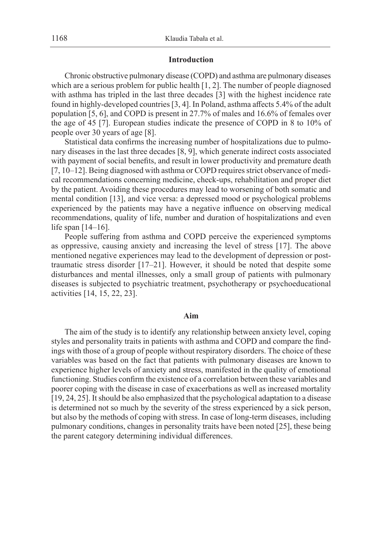## **Introduction**

Chronic obstructive pulmonary disease (COPD) and asthma are pulmonary diseases which are a serious problem for public health [1, 2]. The number of people diagnosed with asthma has tripled in the last three decades [3] with the highest incidence rate found in highly-developed countries [3, 4]. In Poland, asthma affects 5.4% of the adult population [5, 6], and COPD is present in 27.7% of males and 16.6% of females over the age of 45 [7]. European studies indicate the presence of COPD in 8 to 10% of people over 30 years of age [8].

Statistical data confirms the increasing number of hospitalizations due to pulmonary diseases in the last three decades [8, 9], which generate indirect costs associated with payment of social benefits, and result in lower productivity and premature death [7, 10–12]. Being diagnosed with asthma or COPD requires strict observance of medical recommendations concerning medicine, check-ups, rehabilitation and proper diet by the patient. Avoiding these procedures may lead to worsening of both somatic and mental condition [13], and vice versa: a depressed mood or psychological problems experienced by the patients may have a negative influence on observing medical recommendations, quality of life, number and duration of hospitalizations and even life span [14–16].

People suffering from asthma and COPD perceive the experienced symptoms as oppressive, causing anxiety and increasing the level of stress [17]. The above mentioned negative experiences may lead to the development of depression or posttraumatic stress disorder [17–21]. However, it should be noted that despite some disturbances and mental illnesses, only a small group of patients with pulmonary diseases is subjected to psychiatric treatment, psychotherapy or psychoeducational activities [14, 15, 22, 23].

## **Aim**

The aim of the study is to identify any relationship between anxiety level, coping styles and personality traits in patients with asthma and COPD and compare the findings with those of a group of people without respiratory disorders. The choice of these variables was based on the fact that patients with pulmonary diseases are known to experience higher levels of anxiety and stress, manifested in the quality of emotional functioning. Studies confirm the existence of a correlation between these variables and poorer coping with the disease in case of exacerbations as well as increased mortality [19, 24, 25]. It should be also emphasized that the psychological adaptation to a disease is determined not so much by the severity of the stress experienced by a sick person, but also by the methods of coping with stress. In case of long-term diseases, including pulmonary conditions, changes in personality traits have been noted [25], these being the parent category determining individual differences.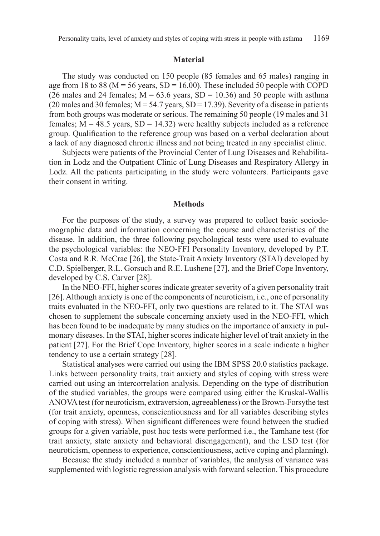## **Material**

The study was conducted on 150 people (85 females and 65 males) ranging in age from 18 to 88 ( $M = 56$  years, SD = 16.00). These included 50 people with COPD (26 males and 24 females;  $M = 63.6$  years,  $SD = 10.36$ ) and 50 people with asthma (20 males and 30 females;  $M = 54.7$  years,  $SD = 17.39$ ). Severity of a disease in patients from both groups was moderate or serious. The remaining 50 people (19 males and 31 females;  $M = 48.5$  years,  $SD = 14.32$ ) were healthy subjects included as a reference group. Qualification to the reference group was based on a verbal declaration about a lack of any diagnosed chronic illness and not being treated in any specialist clinic.

Subjects were patients of the Provincial Center of Lung Diseases and Rehabilitation in Lodz and the Outpatient Clinic of Lung Diseases and Respiratory Allergy in Lodz. All the patients participating in the study were volunteers. Participants gave their consent in writing.

#### **Methods**

For the purposes of the study, a survey was prepared to collect basic sociodemographic data and information concerning the course and characteristics of the disease. In addition, the three following psychological tests were used to evaluate the psychological variables: the NEO-FFI Personality Inventory, developed by P.T. Costa and R.R. McCrae [26], the State-Trait Anxiety Inventory (STAI) developed by C.D. Spielberger, R.L. Gorsuch and R.E. Lushene [27], and the Brief Cope Inventory, developed by C.S. Carver [28].

In the NEO-FFI, higher scores indicate greater severity of a given personality trait [26]. Although anxiety is one of the components of neuroticism, i.e., one of personality traits evaluated in the NEO-FFI, only two questions are related to it. The STAI was chosen to supplement the subscale concerning anxiety used in the NEO-FFI, which has been found to be inadequate by many studies on the importance of anxiety in pulmonary diseases. In the STAI, higher scores indicate higher level of trait anxiety in the patient [27]. For the Brief Cope Inventory, higher scores in a scale indicate a higher tendency to use a certain strategy [28].

Statistical analyses were carried out using the IBM SPSS 20.0 statistics package. Links between personality traits, trait anxiety and styles of coping with stress were carried out using an intercorrelation analysis. Depending on the type of distribution of the studied variables, the groups were compared using either the Kruskal-Wallis ANOVA test (for neuroticism, extraversion, agreeableness) or the Brown-Forsythe test (for trait anxiety, openness, conscientiousness and for all variables describing styles of coping with stress). When significant differences were found between the studied groups for a given variable, post hoc tests were performed i.e., the Tamhane test (for trait anxiety, state anxiety and behavioral disengagement), and the LSD test (for neuroticism, openness to experience, conscientiousness, active coping and planning).

Because the study included a number of variables, the analysis of variance was supplemented with logistic regression analysis with forward selection. This procedure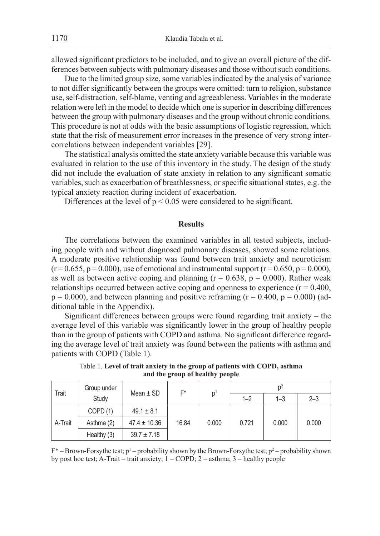allowed significant predictors to be included, and to give an overall picture of the differences between subjects with pulmonary diseases and those without such conditions.

Due to the limited group size, some variables indicated by the analysis of variance to not differ significantly between the groups were omitted: turn to religion, substance use, self-distraction, self-blame, venting and agreeableness. Variables in the moderate relation were left in the model to decide which one is superior in describing differences between the group with pulmonary diseases and the group without chronic conditions. This procedure is not at odds with the basic assumptions of logistic regression, which state that the risk of measurement error increases in the presence of very strong intercorrelations between independent variables [29].

The statistical analysis omitted the state anxiety variable because this variable was evaluated in relation to the use of this inventory in the study. The design of the study did not include the evaluation of state anxiety in relation to any significant somatic variables, such as exacerbation of breathlessness, or specific situational states, e.g. the typical anxiety reaction during incident of exacerbation.

Differences at the level of  $p < 0.05$  were considered to be significant.

## **Results**

The correlations between the examined variables in all tested subjects, including people with and without diagnosed pulmonary diseases, showed some relations. A moderate positive relationship was found between trait anxiety and neuroticism  $(r = 0.655, p = 0.000)$ , use of emotional and instrumental support  $(r = 0.650, p = 0.000)$ , as well as between active coping and planning ( $r = 0.638$ ,  $p = 0.000$ ). Rather weak relationships occurred between active coping and openness to experience  $(r = 0.400,$  $p = 0.000$ ), and between planning and positive reframing ( $r = 0.400$ ,  $p = 0.000$ ) (additional table in the Appendix).

Significant differences between groups were found regarding trait anxiety – the average level of this variable was significantly lower in the group of healthy people than in the group of patients with COPD and asthma. No significant difference regarding the average level of trait anxiety was found between the patients with asthma and patients with COPD (Table 1).

| Trait   | Group under | Mean $\pm$ SD    | F*    |       |         |         |         |
|---------|-------------|------------------|-------|-------|---------|---------|---------|
|         | Study       |                  |       | D     | $1 - 2$ | $1 - 3$ | $2 - 3$ |
|         | COPD(1)     | $49.1 \pm 8.1$   |       |       |         |         |         |
| A-Trait | Asthma (2)  | $47.4 \pm 10.36$ | 16.84 | 0.000 | 0.721   | 0.000   | 0.000   |
|         | Healthy (3) | $39.7 \pm 7.18$  |       |       |         |         |         |

Table 1. **Level of trait anxiety in the group of patients with COPD, asthma and the group of healthy people**

 $F^*$  – Brown-Forsythe test;  $p^1$  – probability shown by the Brown-Forsythe test;  $p^2$  – probability shown by post hoc test; A-Trait – trait anxiety; 1 – COPD; 2 – asthma; 3 – healthy people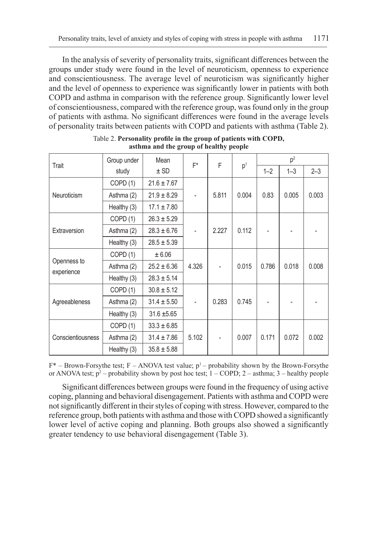In the analysis of severity of personality traits, significant differences between the groups under study were found in the level of neuroticism, openness to experience and conscientiousness. The average level of neuroticism was significantly higher and the level of openness to experience was significantly lower in patients with both COPD and asthma in comparison with the reference group. Significantly lower level of conscientiousness, compared with the reference group, was found only in the group of patients with asthma. No significant differences were found in the average levels of personality traits between patients with COPD and patients with asthma (Table 2).

| Trait                     | Group under | Mean            | $F^*$ | F     |                |         | p <sup>2</sup> |         |  |
|---------------------------|-------------|-----------------|-------|-------|----------------|---------|----------------|---------|--|
|                           | study       | $±$ SD          |       |       | p <sup>1</sup> | $1 - 2$ | $1 - 3$        | $2 - 3$ |  |
|                           | COPD(1)     | $21.6 \pm 7.67$ |       |       |                |         |                |         |  |
| Neuroticism               | Asthma (2)  | $21.9 \pm 8.29$ |       | 5.811 | 0.004          | 0.83    | 0.005          | 0.003   |  |
|                           | Healthy (3) | $17.1 \pm 7.80$ |       |       |                |         |                |         |  |
|                           | COPD(1)     | $26.3 \pm 5.29$ |       |       |                |         |                |         |  |
| Extraversion              | Asthma (2)  | $28.3 \pm 6.76$ |       | 2.227 | 0.112          |         |                |         |  |
|                           | Healthy (3) | $28.5 \pm 5.39$ |       |       |                |         |                |         |  |
|                           | COPD(1)     | ± 6.06          |       |       |                |         |                |         |  |
| Openness to<br>experience | Asthma (2)  | $25.2 \pm 6.36$ | 4.326 |       | 0.015          | 0.786   | 0.018          | 0.008   |  |
|                           | Healthy (3) | $28.3 \pm 5.14$ |       |       |                |         |                |         |  |
|                           | COPD(1)     | $30.8 \pm 5.12$ |       |       |                |         |                |         |  |
| Agreeableness             | Asthma (2)  | $31.4 \pm 5.50$ |       | 0.283 | 0.745          |         |                |         |  |
|                           | Healthy (3) | $31.6 \pm 5.65$ |       |       |                |         |                |         |  |
|                           | COPD(1)     | $33.3 \pm 6.85$ |       |       |                |         |                |         |  |
| <b>Conscientiousness</b>  | Asthma (2)  | $31.4 \pm 7.86$ | 5.102 |       | 0.007          | 0.171   | 0.072          | 0.002   |  |
|                           | Healthy (3) | $35.8 \pm 5.88$ |       |       |                |         |                |         |  |

Table 2. **Personality profile in the group of patients with COPD, asthma and the group of healthy people**

 $F^*$  – Brown-Forsythe test; F – ANOVA test value;  $p^1$  – probability shown by the Brown-Forsythe or ANOVA test;  $p^2$  – probability shown by post hoc test;  $1 -$ COPD;  $2 -$  asthma;  $3 -$  healthy people

Significant differences between groups were found in the frequency of using active coping, planning and behavioral disengagement. Patients with asthma and COPD were not significantly different in their styles of coping with stress. However, compared to the reference group, both patients with asthma and those with COPD showed a significantly lower level of active coping and planning. Both groups also showed a significantly greater tendency to use behavioral disengagement (Table 3).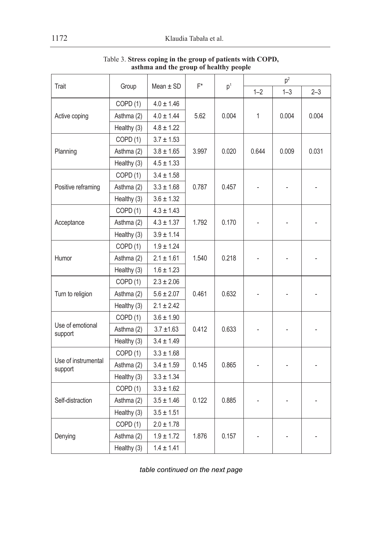|                                |                     |                |       |                |                | p <sup>2</sup> |         |  |
|--------------------------------|---------------------|----------------|-------|----------------|----------------|----------------|---------|--|
| Trait                          | Group               | Mean $\pm$ SD  | F*    | p <sup>1</sup> | $1 - 2$        | $1 - 3$        | $2 - 3$ |  |
|                                | COPD <sub>(1)</sub> | $4.0 \pm 1.46$ |       |                |                |                |         |  |
| Active coping                  | Asthma (2)          | $4.0 \pm 1.44$ | 5.62  | 0.004          | $\mathbf{1}$   | 0.004          | 0.004   |  |
|                                | Healthy (3)         | $4.8 \pm 1.22$ |       |                |                |                |         |  |
|                                | COPD (1)            | $3.7 \pm 1.53$ |       |                |                |                |         |  |
| Planning                       | Asthma (2)          | $3.8 \pm 1.65$ | 3.997 | 0.020          | 0.644          | 0.009          | 0.031   |  |
|                                | Healthy (3)         | $4.5 \pm 1.33$ |       |                |                |                |         |  |
|                                | COPD <sub>(1)</sub> | $3.4 \pm 1.58$ |       |                |                |                |         |  |
| Positive reframing             | Asthma (2)          | $3.3 \pm 1.68$ | 0.787 | 0.457          |                |                |         |  |
|                                | Healthy (3)         | $3.6 \pm 1.32$ |       |                |                |                |         |  |
|                                | COPD <sub>(1)</sub> | $4.3 \pm 1.43$ |       |                |                |                |         |  |
| Acceptance                     | Asthma (2)          | $4.3 \pm 1.37$ | 1.792 | 0.170          | $\overline{a}$ |                |         |  |
|                                | Healthy (3)         | $3.9 \pm 1.14$ |       |                |                |                |         |  |
|                                | COPD (1)            | $1.9 \pm 1.24$ |       |                |                |                |         |  |
| Humor                          | Asthma (2)          | $2.1 \pm 1.61$ | 1.540 | 0.218          |                |                |         |  |
|                                | Healthy (3)         | $1.6 \pm 1.23$ |       |                |                |                |         |  |
|                                | COPD (1)            | $2.3 \pm 2.06$ |       |                |                |                |         |  |
| Turn to religion               | Asthma (2)          | $5.6 \pm 2.07$ | 0.461 | 0.632          | $\overline{a}$ |                |         |  |
|                                | Healthy (3)         | $2.1 \pm 2.42$ |       |                |                |                |         |  |
|                                | COPD (1)            | $3.6 \pm 1.90$ |       |                |                |                |         |  |
| Use of emotional<br>support    | Asthma (2)          | $3.7 \pm 1.63$ | 0.412 | 0.633          |                |                |         |  |
|                                | Healthy (3)         | $3.4 \pm 1.49$ |       |                |                |                |         |  |
|                                | COPD <sub>(1)</sub> | $3.3 \pm 1.68$ |       |                |                |                |         |  |
| Use of instrumental<br>support | Asthma (2)          | $3.4 \pm 1.59$ | 0.145 | 0.865          | $\overline{a}$ |                |         |  |
|                                | Healthy (3)         | $3.3 \pm 1.34$ |       |                |                |                |         |  |
|                                | COPD(1)             | $3.3 \pm 1.62$ |       |                |                |                |         |  |
| Self-distraction               | Asthma (2)          | $3.5 \pm 1.46$ | 0.122 | 0.885          |                |                |         |  |
|                                | Healthy (3)         | $3.5 \pm 1.51$ |       |                |                |                |         |  |
|                                | COPD <sub>(1)</sub> | $2.0 \pm 1.78$ |       |                |                |                |         |  |
| Denying                        | Asthma (2)          | $1.9 \pm 1.72$ | 1.876 | 0.157          |                |                |         |  |
|                                | Healthy (3)         | $1.4 \pm 1.41$ |       |                |                |                |         |  |

Table 3. **Stress coping in the group of patients with COPD, asthma and the group of healthy people**

*table continued on the next page*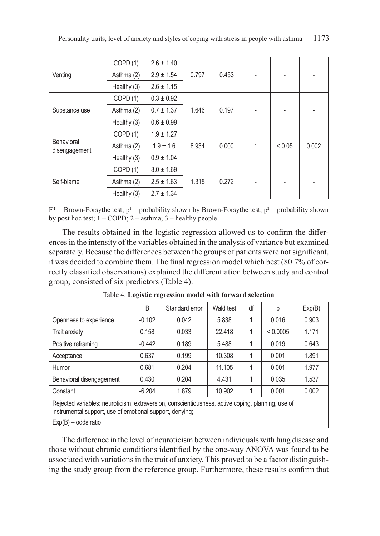|                             | COPD(1)     | $2.6 \pm 1.40$ |       |       |   |        |       |
|-----------------------------|-------------|----------------|-------|-------|---|--------|-------|
| Venting                     | Asthma (2)  | $2.9 \pm 1.54$ | 0.797 | 0.453 |   |        |       |
|                             | Healthy (3) | $2.6 \pm 1.15$ |       |       |   |        |       |
|                             | COPD (1)    | $0.3 \pm 0.92$ |       |       |   |        |       |
| Substance use               | Asthma (2)  | $0.7 \pm 1.37$ | 1.646 | 0.197 |   |        |       |
|                             | Healthy (3) | $0.6 \pm 0.99$ |       |       |   |        |       |
|                             | COPD (1)    | $1.9 \pm 1.27$ |       |       |   |        |       |
| Behavioral<br>disengagement | Asthma (2)  | $1.9 \pm 1.6$  | 8.934 | 0.000 | 1 | < 0.05 | 0.002 |
|                             | Healthy (3) | $0.9 \pm 1.04$ |       |       |   |        |       |
|                             | COPD (1)    | $3.0 \pm 1.69$ |       |       |   |        |       |
| Self-blame                  | Asthma (2)  | $2.5 \pm 1.63$ | 1.315 | 0.272 |   |        |       |
|                             | Healthy (3) | $2.7 \pm 1.34$ |       |       |   |        |       |

 $F^*$  – Brown-Forsythe test;  $p^1$  – probability shown by Brown-Forsythe test;  $p^2$  – probability shown by post hoc test; 1 – COPD; 2 – asthma; 3 – healthy people

The results obtained in the logistic regression allowed us to confirm the differences in the intensity of the variables obtained in the analysis of variance but examined separately. Because the differences between the groups of patients were not significant, it was decided to combine them. The final regression model which best (80.7% of correctly classified observations) explained the differentiation between study and control group, consisted of six predictors (Table 4).

|                                                                                              | B        | Standard error | Wald test | df | р        | Exp(B) |
|----------------------------------------------------------------------------------------------|----------|----------------|-----------|----|----------|--------|
| Openness to experience                                                                       | $-0.102$ | 0.042          | 5.838     |    | 0.016    | 0.903  |
| <b>Trait anxiety</b>                                                                         | 0.158    | 0.033          | 22.418    |    | < 0.0005 | 1.171  |
| Positive reframing                                                                           | $-0.442$ | 0.189          | 5.488     |    | 0.019    | 0.643  |
| Acceptance                                                                                   | 0.637    | 0.199          | 10.308    | 1  | 0.001    | 1.891  |
| Humor                                                                                        | 0.681    | 0.204          | 11.105    |    | 0.001    | 1.977  |
| Behavioral disengagement                                                                     | 0.430    | 0.204          | 4.431     |    | 0.035    | 1.537  |
| Constant                                                                                     | $-6.204$ | 1.879          | 10.902    | 1  | 0.001    | 0.002  |
| Rejected variables: neuroticism extraversion conscientiousness active coping planning use of |          |                |           |    |          |        |

Table 4. **Logistic regression model with forward selection**

active coping, planning instrumental support, use of emotional support, denying;

Exp(B) – odds ratio

The difference in the level of neuroticism between individuals with lung disease and those without chronic conditions identified by the one-way ANOVA was found to be associated with variations in the trait of anxiety. This proved to be a factor distinguishing the study group from the reference group. Furthermore, these results confirm that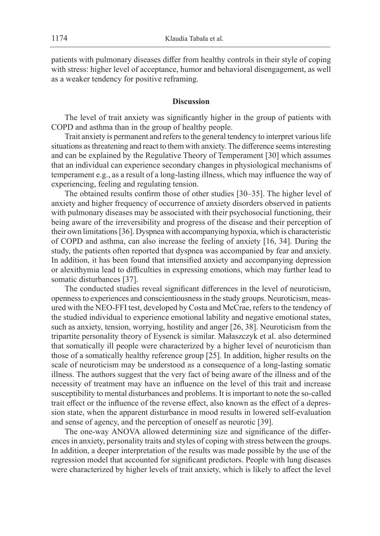patients with pulmonary diseases differ from healthy controls in their style of coping with stress: higher level of acceptance, humor and behavioral disengagement, as well as a weaker tendency for positive reframing.

## **Discussion**

The level of trait anxiety was significantly higher in the group of patients with COPD and asthma than in the group of healthy people.

Trait anxiety is permanent and refers to the general tendency to interpret various life situations as threatening and react to them with anxiety. The difference seems interesting and can be explained by the Regulative Theory of Temperament [30] which assumes that an individual can experience secondary changes in physiological mechanisms of temperament e.g., as a result of a long-lasting illness, which may influence the way of experiencing, feeling and regulating tension.

The obtained results confirm those of other studies [30–35]. The higher level of anxiety and higher frequency of occurrence of anxiety disorders observed in patients with pulmonary diseases may be associated with their psychosocial functioning, their being aware of the irreversibility and progress of the disease and their perception of their own limitations [36]. Dyspnea with accompanying hypoxia, which is characteristic of COPD and asthma, can also increase the feeling of anxiety [16, 34]. During the study, the patients often reported that dyspnea was accompanied by fear and anxiety. In addition, it has been found that intensified anxiety and accompanying depression or alexithymia lead to difficulties in expressing emotions, which may further lead to somatic disturbances [37].

The conducted studies reveal significant differences in the level of neuroticism, openness to experiences and conscientiousness in the study groups. Neuroticism, measured with the NEO-FFI test, developed by Costa and McCrae, refers to the tendency of the studied individual to experience emotional lability and negative emotional states, such as anxiety, tension, worrying, hostility and anger [26, 38]. Neuroticism from the tripartite personality theory of Eysenck is similar. Małaszczyk et al. also determined that somatically ill people were characterized by a higher level of neuroticism than those of a somatically healthy reference group [25]. In addition, higher results on the scale of neuroticism may be understood as a consequence of a long-lasting somatic illness. The authors suggest that the very fact of being aware of the illness and of the necessity of treatment may have an influence on the level of this trait and increase susceptibility to mental disturbances and problems. It is important to note the so-called trait effect or the influence of the reverse effect, also known as the effect of a depression state, when the apparent disturbance in mood results in lowered self-evaluation and sense of agency, and the perception of oneself as neurotic [39].

The one-way ANOVA allowed determining size and significance of the differences in anxiety, personality traits and styles of coping with stress between the groups. In addition, a deeper interpretation of the results was made possible by the use of the regression model that accounted for significant predictors. People with lung diseases were characterized by higher levels of trait anxiety, which is likely to affect the level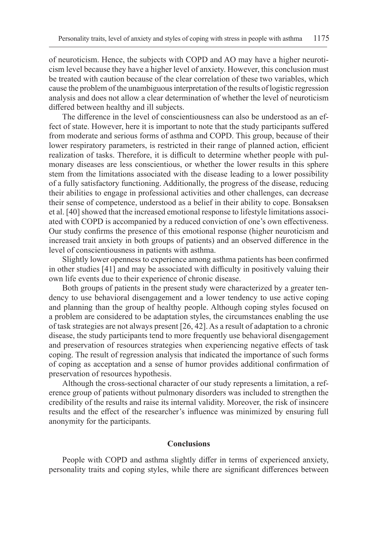of neuroticism. Hence, the subjects with COPD and AO may have a higher neuroticism level because they have a higher level of anxiety. However, this conclusion must be treated with caution because of the clear correlation of these two variables, which cause the problem of the unambiguous interpretation of the results of logistic regression analysis and does not allow a clear determination of whether the level of neuroticism differed between healthy and ill subjects.

The difference in the level of conscientiousness can also be understood as an effect of state. However, here it is important to note that the study participants suffered from moderate and serious forms of asthma and COPD. This group, because of their lower respiratory parameters, is restricted in their range of planned action, efficient realization of tasks. Therefore, it is difficult to determine whether people with pulmonary diseases are less conscientious, or whether the lower results in this sphere stem from the limitations associated with the disease leading to a lower possibility of a fully satisfactory functioning. Additionally, the progress of the disease, reducing their abilities to engage in professional activities and other challenges, can decrease their sense of competence, understood as a belief in their ability to cope. Bonsaksen et al. [40] showed that the increased emotional response to lifestyle limitations associated with COPD is accompanied by a reduced conviction of one's own effectiveness. Our study confirms the presence of this emotional response (higher neuroticism and increased trait anxiety in both groups of patients) and an observed difference in the level of conscientiousness in patients with asthma.

Slightly lower openness to experience among asthma patients has been confirmed in other studies [41] and may be associated with difficulty in positively valuing their own life events due to their experience of chronic disease.

Both groups of patients in the present study were characterized by a greater tendency to use behavioral disengagement and a lower tendency to use active coping and planning than the group of healthy people. Although coping styles focused on a problem are considered to be adaptation styles, the circumstances enabling the use of task strategies are not always present [26, 42]. As a result of adaptation to a chronic disease, the study participants tend to more frequently use behavioral disengagement and preservation of resources strategies when experiencing negative effects of task coping. The result of regression analysis that indicated the importance of such forms of coping as acceptation and a sense of humor provides additional confirmation of preservation of resources hypothesis.

Although the cross-sectional character of our study represents a limitation, a reference group of patients without pulmonary disorders was included to strengthen the credibility of the results and raise its internal validity. Moreover, the risk of insincere results and the effect of the researcher's influence was minimized by ensuring full anonymity for the participants.

## **Conclusions**

People with COPD and asthma slightly differ in terms of experienced anxiety, personality traits and coping styles, while there are significant differences between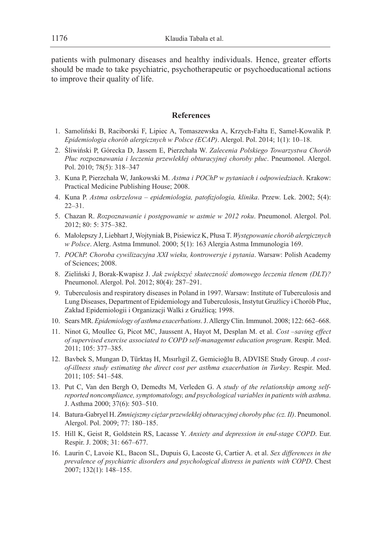patients with pulmonary diseases and healthy individuals. Hence, greater efforts should be made to take psychiatric, psychotherapeutic or psychoeducational actions to improve their quality of life.

## **References**

- 1. Samoliński B, Raciborski F, Lipiec A, Tomaszewska A, Krzych-Fałta E, Samel-Kowalik P. *Epidemiologia chorób alergicznych w Polsce (ECAP)*. Alergol. Pol. 2014; 1(1): 10–18.
- 2. Śliwiński P, Górecka D, Jassem E, Pierzchała W. *Zalecenia Polskiego Towarzystwa Chorób Płuc rozpoznawania i leczenia przewlekłej obturacyjnej choroby płuc*. Pneumonol. Alergol. Pol. 2010; 78(5): 318–347
- 3. Kuna P, Pierzchała W, Jankowski M. *Astma i POChP w pytaniach i odpowiedziach*. Krakow: Practical Medicine Publishing House; 2008.
- 4. Kuna P. *Astma oskrzelowa epidemiologia, patofizjologia, klinika*. Przew. Lek. 2002; 5(4): 22–31.
- 5. Chazan R. *Rozpoznawanie i postępowanie w astmie w 2012 roku*. Pneumonol. Alergol. Pol. 2012; 80: 5: 375–382.
- 6. Małolepszy J, Liebhart J, Wojtyniak B, Pisiewicz K, Płusa T. *Występowanie chorób alergicznych w Polsce*. Alerg. Astma Immunol. 2000; 5(1): 163 Alergia Astma Immunologia 169.
- 7. *POChP. Choroba cywilizacyjna XXI wieku, kontrowersje i pytania*. Warsaw: Polish Academy of Sciences; 2008.
- 8. Zieliński J, Borak-Kwapisz J. *Jak zwiększyć skuteczność domowego leczenia tlenem (DLT)?*  Pneumonol. Alergol. Pol. 2012; 80(4): 287–291.
- 9. Tuberculosis and respiratory diseases in Poland in 1997. Warsaw: Institute of Tuberculosis and Lung Diseases, Department of Epidemiology and Tuberculosis, Instytut Gruźlicy i Chorób Płuc, Zakład Epidemiologii i Organizacji Walki z Gruźlicą; 1998.
- 10. Sears MR. *Epidemiology of asthma exacerbations*. J. Allergy Clin. Immunol. 2008; 122: 662–668.
- 11. Ninot G, Moullec G, Picot MC, Jaussent A, Hayot M, Desplan M. et al. *Cost –saving effect of supervised exercise associated to COPD self-managemnt education program*. Respir. Med. 2011; 105: 377–385.
- 12. Bavbek S, Mungan D, Türktaş H, Mısırlıgil Z, Gemicioğlu B, ADVISE Study Group. *A costof-illness study estimating the direct cost per asthma exacerbation in Turkey*. Respir. Med. 2011; 105: 541–548.
- 13. Put C, Van den Bergh O, Demedts M, Verleden G. A *study of the relationship among selfreported noncompliance, symptomatology, and psychological variables in patients with asthma*. J. Asthma 2000; 37(6): 503–510.
- 14. Batura-Gabryel H. *Zmniejszmy ciężar przewlekłej obturacyjnej choroby płuc (cz. II)*. Pneumonol. Alergol. Pol. 2009; 77: 180–185.
- 15. Hill K, Geist R, Goldstein RS, Lacasse Y. *Anxiety and depression in end-stage COPD*. Eur. Respir. J. 2008; 31: 667–677.
- 16. Laurin C, Lavoie KL, Bacon SL, Dupuis G, Lacoste G, Cartier A. et al. *Sex differences in the prevalence of psychiatric disorders and psychological distress in patients with COPD*. Chest 2007; 132(1): 148–155.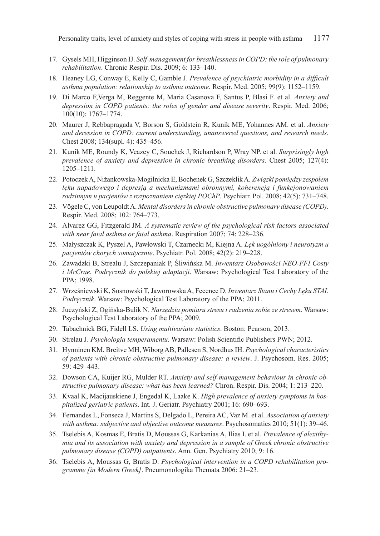- 17. Gysels MH, Higginson IJ. *Self-management for breathlessness in COPD: the role of pulmonary rehabilitation*. Chronic Respir. Dis. 2009; 6: 133–140.
- 18. Heaney LG, Conway E, Kelly C, Gamble J. *Prevalence of psychiatric morbidity in a difficult asthma population: relationship to asthma outcome*. Respir. Med. 2005; 99(9): 1152–1159.
- 19. Di Marco F,Verga M, Reggente M, Maria Casanova F, Santus P, Blasi F. et al. *Anxiety and depression in COPD patients: the roles of gender and disease severity*. Respir. Med. 2006; 100(10): 1767–1774.
- 20. Maurer J, Rebbapragada V, Borson S, Goldstein R, Kunik ME, Yohannes AM. et al. *Anxiety and deression in COPD: current understanding, unanswered questions, and research needs*. Chest 2008; 134(supl. 4): 435–456.
- 21. Kunik ME, Roundy K, Veazey C, Souchek J, Richardson P, Wray NP. et al. *Surprisingly high prevalence of anxiety and depression in chronic breathing disorders*. Chest 2005; 127(4): 1205–1211.
- 22. Potoczek A, Niżankowska-Mogilnicka E, Bochenek G, Szczeklik A. *Związki pomiędzy zespołem lęku napadowego i depresją a mechanizmami obronnymi, koherencją i funkcjonowaniem rodzinnym u pacjentów z rozpoznaniem ciężkiej POChP*. Psychiatr. Pol. 2008; 42(5): 731–748.
- 23. Vögele C, von Leupoldt A. *Mental disorders in chronic obstructive pulmonary disease (COPD)*. Respir. Med. 2008; 102: 764–773.
- 24. Alvarez GG, Fitzgerald JM. *A systematic review of the psychological risk factors associated with near fatal asthma or fatal asthma*. Respiration 2007; 74: 228–236.
- 25. Małyszczak K, Pyszel A, Pawłowski T, Czarnecki M, Kiejna A. *Lęk uogólniony i neurotyzm u pacjentów chorych somatycznie*. Psychiatr. Pol. 2008; 42(2): 219–228.
- 26. Zawadzki B, Strealu J, Szczepaniak P, Śliwińska M. *Inwentarz Osobowości NEO-FFI Costy i McCrae. Podręcznik do polskiej adaptacji*. Warsaw: Psychological Test Laboratory of the PPA; 1998.
- 27. Wrześniewski K, Sosnowski T, Jaworowska A, Fecenec D. *Inwentarz Stanu i Cechy Lęku STAI. Podręcznik*. Warsaw: Psychological Test Laboratory of the PPA; 2011.
- 28. Juczyński Z, Ogińska-Bulik N. *Narzędzia pomiaru stresu i radzenia sobie ze stresem*. Warsaw: Psychological Test Laboratory of the PPA; 2009.
- 29. Tabachnick BG, Fidell LS. *Using multivariate statistics*. Boston: Pearson; 2013.
- 30. Strelau J. *Psychologia temperamentu*. Warsaw: Polish Scientific Publishers PWN; 2012.
- 31. Hynninen KM, Breitve MH, Wiborg AB, Pallesen S, Nordhus IH. *Psychological characteristics of patients with chronic obstructive pulmonary disease: a review*. J. Psychosom. Res. 2005; 59: 429–443.
- 32. Dowson CA, Kuijer RG, Mulder RT. *Anxiety and self-management behaviour in chronic obstructive pulmonary disease: what has been learned?* Chron. Respir. Dis. 2004; 1: 213–220.
- 33. Kvaal K, Macijauskiene J, Engedal K, Laake K. *High prevalence of anxiety symptoms in hospitalized geriatric patients*. Int. J. Geriatr. Psychiatry 2001; 16: 690–693.
- 34. Fernandes L, Fonseca J, Martins S, Delgado L, Pereira AC, Vaz M. et al. *Association of anxiety with asthma: subjective and objective outcome measures*. Psychosomatics 2010; 51(1): 39–46.
- 35. Tselebis A, Kosmas E, Bratis D, Moussas G, Karkanias A, Ilias I. et al. *Prevalence of alexithymia and its association with anxiety and depression in a sample of Greek chronic obstructive pulmonary disease (COPD) outpatients*. Ann. Gen. Psychiatry 2010; 9: 16.
- 36. Tselebis A, Moussas G, Bratis D. *Psychological intervention in a COPD rehabilitation programme [in Modern Greek]*. Pneumonologika Themata 2006: 21–23.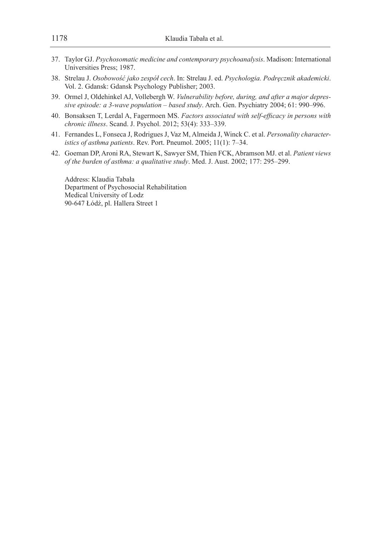- 37. Taylor GJ. *Psychosomatic medicine and contemporary psychoanalysis*. Madison: International Universities Press; 1987.
- 38. Strelau J. *Osobowość jako zespół cech*. In: Strelau J. ed. *Psychologia. Podręcznik akademicki*. Vol. 2. Gdansk: Gdansk Psychology Publisher; 2003.
- 39. Ormel J, Oldehinkel AJ, Vollebergh W. *Vulnerability before, during, and after a major depressive episode: a 3-wave population – based study*. Arch. Gen. Psychiatry 2004; 61: 990–996.
- 40. Bonsaksen T, Lerdal A, Fagermoen MS. *Factors associated with self-efficacy in persons with chronic illness*. Scand. J. Psychol. 2012; 53(4): 333–339.
- 41. Fernandes L, Fonseca J, Rodrigues J, Vaz M, Almeida J, Winck C. et al. *Personality characteristics of asthma patients*. Rev. Port. Pneumol. 2005; 11(1): 7–34.
- 42. Goeman DP, Aroni RA, Stewart K, Sawyer SM, Thien FCK, Abramson MJ. et al. *Patient views of the burden of asthma: a qualitative study*. Med. J. Aust. 2002; 177: 295–299.

Address: Klaudia Tabała Department of Psychosocial Rehabilitation Medical University of Lodz 90-647 Łódź, pl. Hallera Street 1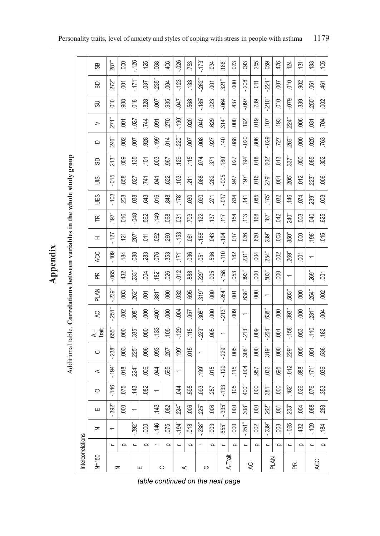| Intercorrelations |                          |                          |                             |                          |                          |                     |                          |                          |                          |                          |                          |                  |                          |        |            |                     |          |                       |            |                |               |
|-------------------|--------------------------|--------------------------|-----------------------------|--------------------------|--------------------------|---------------------|--------------------------|--------------------------|--------------------------|--------------------------|--------------------------|------------------|--------------------------|--------|------------|---------------------|----------|-----------------------|------------|----------------|---------------|
| $N = 150$         |                          | Z                        | ш                           | O                        | ⋖                        | $\circ$             | $4 -$                    | RC                       | PLAN                     | 匥                        | ACC                      | I                | Æ                        | UES    | SIN        | සි                  | $\Box$   | $\, > \,$             | 50         | 品              | සී            |
|                   | $\overline{\phantom{0}}$ | $\overline{\phantom{0}}$ | $\mathfrak{L}^*$<br>.<br>39 | $-146$                   | $-194$                   | 238"                | .655'                    | 251"                     | <b>239</b>               | $-0.065$                 | $-109$                   | $-127$           | 197                      | $-103$ | $-0.05$    | 213"                | 246      | $271^{\circ}$         | 010        | 272"           | 287           |
| z                 | $\Omega$                 |                          | 000                         | .075                     | .018                     | .003                | 000                      | .002                     | .003                     | 432                      | .184                     | $\overline{121}$ | 016                      | 208    | 858        | 009                 | 002      | $\tilde{\mathrm{SO}}$ | 908        | $\overline{a}$ | 000           |
|                   | L                        | $-392$                   |                             | .143                     | 224"                     | 225"                | 335                      | 308"                     | 262"                     | $23^{\circ}$             | .088                     | 207              | $-048$                   | 038    | 027        | .135                | $-00$    | .027                  | 018        | $-171$         | $-126$        |
| ш                 | $\Omega$                 | 000                      |                             | 082                      | .006                     | .006                | 000                      | 8                        | $\sum$                   | 004                      | 283                      | $\overline{5}$   | 562                      | 643    | .741       | $\sum$              | 928      | .744                  | 828        | .037           | .125          |
|                   | L                        | $-146$                   | .143                        | $\overline{\phantom{0}}$ | 044                      | .093                | $-133$                   | 400"                     | $\overline{381}$         | .182                     | .076                     | .092             | $-149$                   | 016    | 641        | 003                 | $-199'$  | δë                    | <b>LOO</b> | .<br>235       | .068          |
| $\circ$           | $\Omega$                 | .075                     | .082                        |                          | 595                      | 257                 | .105                     | 000                      | 000                      | .026                     | .353                     | .260             | .068                     | 848    | <b>S22</b> | 587                 | .014     | 270                   | 935        | 004            | 406           |
|                   | L                        | $-194$                   | ᡶ<br>22.                    | <b>DHO</b>               | $\overline{\phantom{0}}$ | 199                 | $-129$                   | $000$ .                  | .032                     | .012                     | .171                     | $-153$           | $\widetilde{\mathrm{S}}$ | .178   | 103        | 129                 | 220"     | $-190^\circ$          | <b>LFO</b> | $-123$         | $-0.026$      |
| ⋖                 | $\Omega$                 | .018                     | 9<br>ĕ                      | 595                      |                          | 015                 | .115                     | .957                     | .695                     | 888                      | .036                     | 061              | <b>PO2</b>               | .030   | 211        | .115                | $-007$   | .020                  | 568        | 133            | .753          |
|                   | $\overline{\phantom{0}}$ | $-238$                   | ້ເດ<br>22                   | 093                      | 199                      | ↽                   | .229                     | .308"                    | .319"                    | <b>229<sup>"</sup></b>   | 65                       | $-381 -$         | .122                     | .090   | .088       | .074                | 008      | 040                   | $-185$     | .262           | $-173$        |
| ပ                 | $\Omega$                 | $\frac{200}{200}$        | .006                        | 257                      | 015                      |                     | .005                     | 000                      | 000                      | .005                     | 536                      | 043              | 137                      | 271    | 282        | 371                 | 927      | 629                   | 023        | $\overline{5}$ | 034           |
|                   | $\overline{\phantom{0}}$ | 655 <sup>*</sup>         | $\mathfrak{s}^*$<br>ကို     | $-133$                   | $-129$                   | $-229$ <sup>*</sup> | $\overline{\phantom{0}}$ | 213"                     | 264"                     | $-158$                   | $-110$                   | $-194.$          | $\frac{1}{11}$           | -017   | $-005$     | .180                | .140     | $314$ "               | .064       | $321$ "        | 381           |
| A-Trait           | $\Omega$                 | 000                      | 000                         | 105                      | .115                     | .005                |                          | 000                      | δğ                       | .053                     | .182                     | 710              | .154                     | .834   | 947        | 027                 | .088     | 000                   | 437        | 000            | 023           |
|                   | $\overline{\phantom{0}}$ | $-251$ <sup>**</sup>     | စ်<br>೫                     | 400"                     | 004                      | $.308 -$            | 213"                     | $\overline{\phantom{0}}$ | 638"                     | 393"                     | 231                      | .036             | .113                     | .141   | 197        | $.194$ <sup>*</sup> | $-0.020$ | 192                   | <b>160</b> | 208"           | .093          |
| R                 | $\Omega$                 | .002                     | 000                         | 000                      | 557                      | 000                 | 009                      |                          | 000                      | .000                     | .004                     | .660             | .168                     | .085   | 016        | 018                 | 806      | 019                   | 239        | 511            | 255           |
|                   | L                        | $-239$                   | أوم<br>26                   | 381                      | 032                      | 319"                | 264"                     | 638"                     | $\overline{\phantom{0}}$ | 503"                     | 254°                     | 239              | .167                     | .175   | 279*       | ່ຂີ                 | .029     | 107                   | 210"       | 221            | .059          |
| PLAN              | $\Omega$                 | .003                     | 5001                        | 600                      | 695                      | 000                 | δ                        | 8                        |                          | 000                      | .002                     | .003             | <b>CNO</b>               | .032   | $\sum$     | 013                 | 727      | .193                  | 010        | 007            | 476           |
|                   | L                        | $-065$                   | ້ຕ<br>S3.                   | .182                     | $-0.07$                  | $229 -$             | $-158$                   | 393"                     | 503"                     | $\overline{\phantom{0}}$ | 269                      | $350 -$          | $.240$ <sup>*</sup>      | .146   | 205"       | $.337$ <sup>*</sup> | 286"     | $224 -$               | .079       | 010            | .124          |
| Æ                 | Q                        | .432                     | 200                         | 026                      | 888                      | .005                | 053                      | 000                      | 000                      |                          | ē                        | 000              | 003                      | 074    | .012       | 000                 | 000      | .006                  | 339        | 902            | $\frac{5}{1}$ |
|                   | L                        | $-109$                   | .088                        | .076                     | 171                      | $-65$               | $-110$                   | 231                      | 254"                     | 269"                     | $\overline{\phantom{0}}$ | $.198^{\degree}$ | <b>DRO</b>               | 239"   | 223        | 085                 | 025      | $\overline{031}$      | 250        | 61             | 133           |
| ACC               | $\Omega$                 | .184                     | 283                         | .353                     | .036                     | 536                 | .182                     | .004                     | .002                     | 500                      |                          | 015              | 625                      | .003   | .006       | 302                 | .763     | <u>тог</u>            | .002       | 461            | .105          |

Additional table. Correlations between variables in the whole study group Additional table. **Correlations between variables in the whole study group**

**Appendix**

*table continued on the next page*